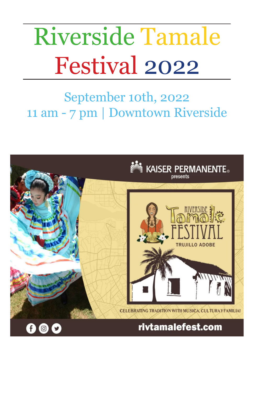# Riverside Tamale Festival 2022

# September 10th, 2022 11 am - 7 pm | Downtown Riverside

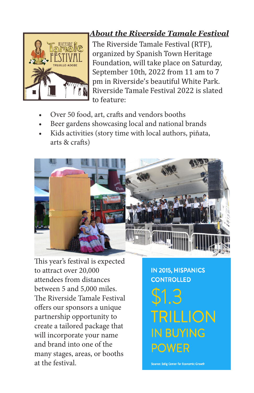# UU LO ADORE

#### *About the Riverside Tamale Festival*

The Riverside Tamale Festival (RTF), organized by Spanish Town Heritage Foundation, will take place on Saturday, September 10th, 2022 from 11 am to 7 pm in Riverside's beautiful White Park. Riverside Tamale Festival 2022 is slated to feature:

- Over 50 food, art, crafts and vendors booths
- Beer gardens showcasing local and national brands
- Kids activities (story time with local authors, piñata, arts & crafts)



This year's festival is expected to attract over 20,000 attendees from distances between 5 and 5,000 miles. The Riverside Tamale Festival offers our sponsors a unique partnership opportunity to create a tailored package that will incorporate your name and brand into one of the many stages, areas, or booths at the festival.

**IN 2015, HISPANICS CONTROLLED** 

TRILLION **IN BUYING POWER** 

Source: Selig Center for Economic Growth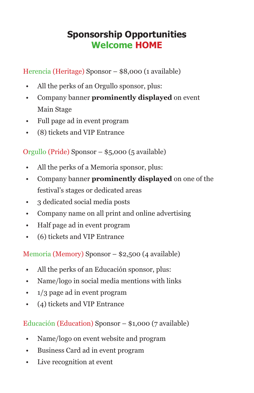#### **Sponsorship Opportunities Welcome HOME**

Herencia (Heritage) Sponsor – \$8,000 (1 available)

- All the perks of an Orgullo sponsor, plus:
- Company banner **prominently displayed** on event Main Stage
- Full page ad in event program
- (8) tickets and VIP Entrance

Orgullo (Pride) Sponsor – \$5,000 (5 available)

- All the perks of a Memoria sponsor, plus:
- Company banner **prominently displayed** on one of the festival's stages or dedicated areas
- 3 dedicated social media posts
- Company name on all print and online advertising
- Half page ad in event program
- (6) tickets and VIP Entrance

Memoria (Memory) Sponsor – \$2,500 (4 available)

- All the perks of an Educación sponsor, plus:
- Name/logo in social media mentions with links
- 1/3 page ad in event program
- (4) tickets and VIP Entrance

Educación (Education) Sponsor – \$1,000 (7 available)

- Name/logo on event website and program
- Business Card ad in event program
- Live recognition at event